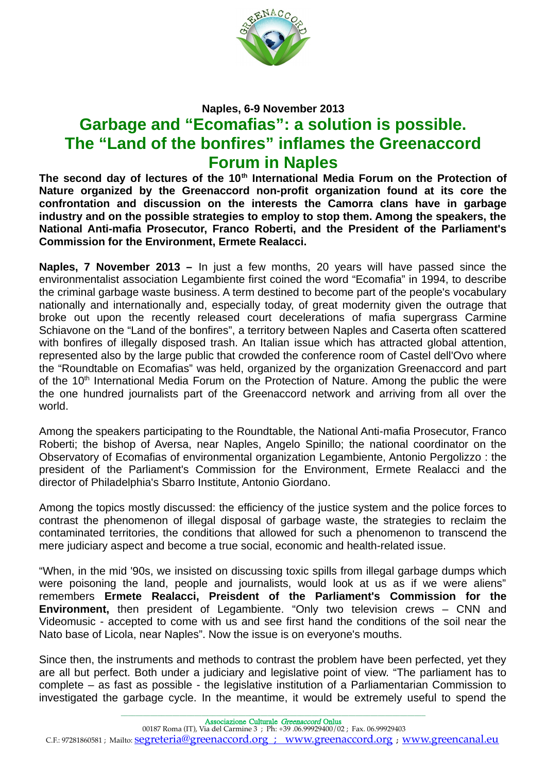

## **Naples, 6-9 November 2013**

## **Garbage and "Ecomafias": a solution is possible. The "Land of the bonfires" inflames the Greenaccord Forum in Naples**

**The second day of lectures of the 10th International Media Forum on the Protection of Nature organized by the Greenaccord non-profit organization found at its core the confrontation and discussion on the interests the Camorra clans have in garbage industry and on the possible strategies to employ to stop them. Among the speakers, the National Anti-mafia Prosecutor, Franco Roberti, and the President of the Parliament's Commission for the Environment, Ermete Realacci.**

**Naples, 7 November 2013 –** In just a few months, 20 years will have passed since the environmentalist association Legambiente first coined the word "Ecomafia" in 1994, to describe the criminal garbage waste business. A term destined to become part of the people's vocabulary nationally and internationally and, especially today, of great modernity given the outrage that broke out upon the recently released court decelerations of mafia supergrass Carmine Schiavone on the "Land of the bonfires", a territory between Naples and Caserta often scattered with bonfires of illegally disposed trash. An Italian issue which has attracted global attention, represented also by the large public that crowded the conference room of Castel dell'Ovo where the "Roundtable on Ecomafias" was held, organized by the organization Greenaccord and part of the 10<sup>th</sup> International Media Forum on the Protection of Nature. Among the public the were the one hundred journalists part of the Greenaccord network and arriving from all over the world.

Among the speakers participating to the Roundtable, the National Anti-mafia Prosecutor, Franco Roberti; the bishop of Aversa, near Naples, Angelo Spinillo; the national coordinator on the Observatory of Ecomafias of environmental organization Legambiente, Antonio Pergolizzo : the president of the Parliament's Commission for the Environment, Ermete Realacci and the director of Philadelphia's Sbarro Institute, Antonio Giordano.

Among the topics mostly discussed: the efficiency of the justice system and the police forces to contrast the phenomenon of illegal disposal of garbage waste, the strategies to reclaim the contaminated territories, the conditions that allowed for such a phenomenon to transcend the mere judiciary aspect and become a true social, economic and health-related issue.

"When, in the mid '90s, we insisted on discussing toxic spills from illegal garbage dumps which were poisoning the land, people and journalists, would look at us as if we were aliens" remembers **Ermete Realacci, Preisdent of the Parliament's Commission for the Environment.** then president of Legambiente. "Only two television crews – CNN and Videomusic - accepted to come with us and see first hand the conditions of the soil near the Nato base of Licola, near Naples". Now the issue is on everyone's mouths.

Since then, the instruments and methods to contrast the problem have been perfected, yet they are all but perfect. Both under a judiciary and legislative point of view. "The parliament has to complete – as fast as possible - the legislative institution of a Parliamentarian Commission to investigated the garbage cycle. In the meantime, it would be extremely useful to spend the

\_\_\_\_\_\_\_\_\_\_\_\_\_\_\_\_\_\_\_\_\_\_\_\_\_\_\_\_\_\_\_\_\_\_\_\_\_\_\_\_\_\_\_\_\_\_\_\_\_\_\_\_\_\_\_\_\_\_\_\_\_\_\_\_\_\_\_\_\_\_\_\_\_\_\_\_\_\_\_\_\_\_\_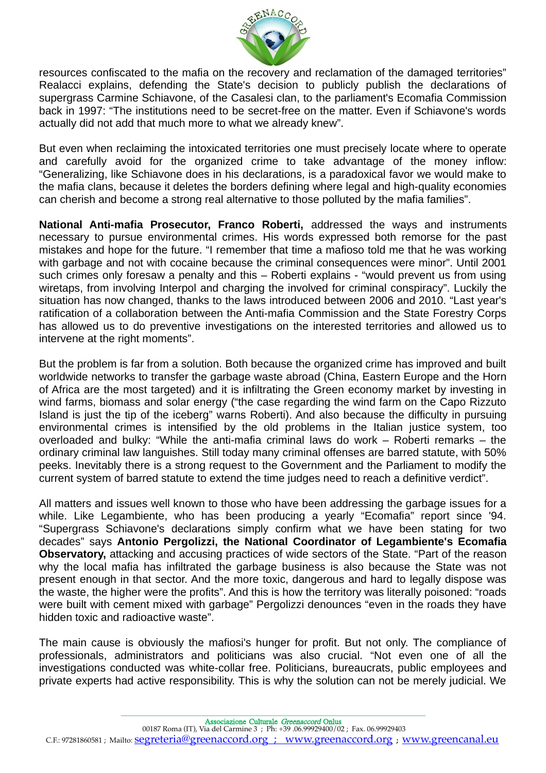

resources confiscated to the mafia on the recovery and reclamation of the damaged territories" Realacci explains, defending the State's decision to publicly publish the declarations of supergrass Carmine Schiavone, of the Casalesi clan, to the parliament's Ecomafia Commission back in 1997: "The institutions need to be secret-free on the matter. Even if Schiavone's words actually did not add that much more to what we already knew".

But even when reclaiming the intoxicated territories one must precisely locate where to operate and carefully avoid for the organized crime to take advantage of the money inflow: "Generalizing, like Schiavone does in his declarations, is a paradoxical favor we would make to the mafia clans, because it deletes the borders defining where legal and high-quality economies can cherish and become a strong real alternative to those polluted by the mafia families".

**National Anti-mafia Prosecutor, Franco Roberti,** addressed the ways and instruments necessary to pursue environmental crimes. His words expressed both remorse for the past mistakes and hope for the future. "I remember that time a mafioso told me that he was working with garbage and not with cocaine because the criminal consequences were minor". Until 2001 such crimes only foresaw a penalty and this – Roberti explains - "would prevent us from using wiretaps, from involving Interpol and charging the involved for criminal conspiracy". Luckily the situation has now changed, thanks to the laws introduced between 2006 and 2010. "Last year's ratification of a collaboration between the Anti-mafia Commission and the State Forestry Corps has allowed us to do preventive investigations on the interested territories and allowed us to intervene at the right moments".

But the problem is far from a solution. Both because the organized crime has improved and built worldwide networks to transfer the garbage waste abroad (China, Eastern Europe and the Horn of Africa are the most targeted) and it is infiltrating the Green economy market by investing in wind farms, biomass and solar energy ("the case regarding the wind farm on the Capo Rizzuto Island is just the tip of the iceberg" warns Roberti). And also because the difficulty in pursuing environmental crimes is intensified by the old problems in the Italian justice system, too overloaded and bulky: "While the anti-mafia criminal laws do work – Roberti remarks – the ordinary criminal law languishes. Still today many criminal offenses are barred statute, with 50% peeks. Inevitably there is a strong request to the Government and the Parliament to modify the current system of barred statute to extend the time judges need to reach a definitive verdict".

All matters and issues well known to those who have been addressing the garbage issues for a while. Like Legambiente, who has been producing a yearly "Ecomafia" report since '94. "Supergrass Schiavone's declarations simply confirm what we have been stating for two decades" says **Antonio Pergolizzi, the National Coordinator of Legambiente's Ecomafia Observatory,** attacking and accusing practices of wide sectors of the State. "Part of the reason why the local mafia has infiltrated the garbage business is also because the State was not present enough in that sector. And the more toxic, dangerous and hard to legally dispose was the waste, the higher were the profits". And this is how the territory was literally poisoned: "roads were built with cement mixed with garbage" Pergolizzi denounces "even in the roads they have hidden toxic and radioactive waste".

The main cause is obviously the mafiosi's hunger for profit. But not only. The compliance of professionals, administrators and politicians was also crucial. "Not even one of all the investigations conducted was white-collar free. Politicians, bureaucrats, public employees and private experts had active responsibility. This is why the solution can not be merely judicial. We

\_\_\_\_\_\_\_\_\_\_\_\_\_\_\_\_\_\_\_\_\_\_\_\_\_\_\_\_\_\_\_\_\_\_\_\_\_\_\_\_\_\_\_\_\_\_\_\_\_\_\_\_\_\_\_\_\_\_\_\_\_\_\_\_\_\_\_\_\_\_\_\_\_\_\_\_\_\_\_\_\_\_\_